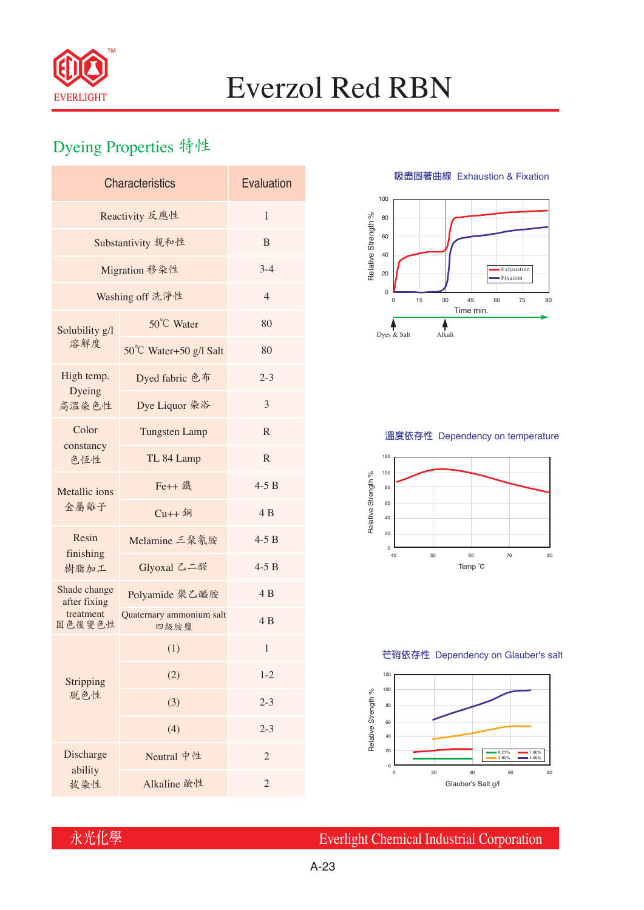

# Everzol Red RBN

## Dyeing Properties 特性

| <b>Characteristics</b>       | Evaluation                       |                |  |  |  |
|------------------------------|----------------------------------|----------------|--|--|--|
| Reactivity 反應性               | T                                |                |  |  |  |
| Substantivity 親和性            | B                                |                |  |  |  |
| Migration 移染性                | $3-4$                            |                |  |  |  |
| Washing off 洗淨性              | $\overline{4}$                   |                |  |  |  |
| Solubility g/l               | 50°C Water                       | 80             |  |  |  |
| 溶解度                          | 50°C Water+50 g/l Salt           | 80             |  |  |  |
| High temp.<br>Dyeing         | Dyed fabric 色布                   | $2 - 3$        |  |  |  |
| 高溫染色性                        | Dye Liquor 染浴                    | 3              |  |  |  |
| Color                        | <b>Tungsten Lamp</b>             | $\mathbb{R}$   |  |  |  |
| constancy<br>色恆性             | TL 84 Lamp                       | $\mathbb{R}$   |  |  |  |
| Metallic ions                | Fe++ 鐵                           | $4-5B$         |  |  |  |
| 金屬離子                         | $Cu++4$                          | 4 B            |  |  |  |
| Resin<br>finishing           | Melamine 三聚氰胺                    | $4-5B$         |  |  |  |
| 樹脂加工                         | Glyoxal 乙二醛                      | $4-5B$         |  |  |  |
| Shade change<br>after fixing | Polyamide 聚乙醯胺                   | 4 B            |  |  |  |
| treatment<br>固色後變色性          | Quaternary ammonium salt<br>四級胺鹽 | 4B             |  |  |  |
|                              | (1)                              | 1              |  |  |  |
| Stripping                    | (2)                              | $1 - 2$        |  |  |  |
| 脱色性                          | (3)                              | $2 - 3$        |  |  |  |
|                              | (4)                              | $2 - 3$        |  |  |  |
| Discharge<br>ability         | Neutral 中性                       | $\overline{2}$ |  |  |  |
| 拔染性                          | Alkaline 鹼性                      | $\mathfrak{2}$ |  |  |  |

**吸盡固著曲線** Exhaustion & Fixation



### **溫度依存性** Dependency on temperature



#### **芒硝依存性** Dependency on Glauber's salt